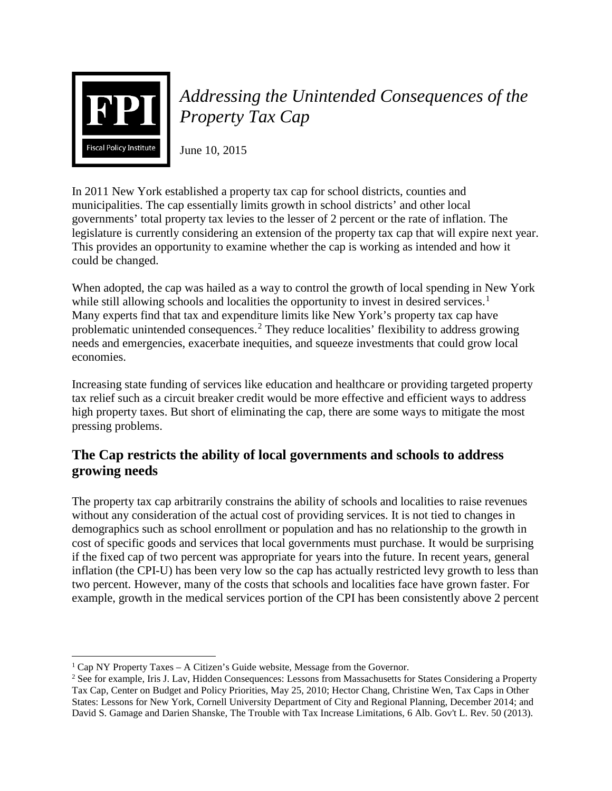

# *Addressing the Unintended Consequences of the Property Tax Cap*

June 10, 2015

In 2011 New York established a property tax cap for school districts, counties and municipalities. The cap essentially limits growth in school districts' and other local governments' total property tax levies to the lesser of 2 percent or the rate of inflation. The legislature is currently considering an extension of the property tax cap that will expire next year. This provides an opportunity to examine whether the cap is working as intended and how it could be changed.

When adopted, the cap was hailed as a way to control the growth of local spending in New York while still allowing schools and localities the opportunity to invest in desired services.<sup>[1](#page-0-0)</sup> Many experts find that tax and expenditure limits like New York's property tax cap have problematic unintended consequences.<sup>[2](#page-0-1)</sup> They reduce localities' flexibility to address growing needs and emergencies, exacerbate inequities, and squeeze investments that could grow local economies.

Increasing state funding of services like education and healthcare or providing targeted property tax relief such as a circuit breaker credit would be more effective and efficient ways to address high property taxes. But short of eliminating the cap, there are some ways to mitigate the most pressing problems.

# **The Cap restricts the ability of local governments and schools to address growing needs**

The property tax cap arbitrarily constrains the ability of schools and localities to raise revenues without any consideration of the actual cost of providing services. It is not tied to changes in demographics such as school enrollment or population and has no relationship to the growth in cost of specific goods and services that local governments must purchase. It would be surprising if the fixed cap of two percent was appropriate for years into the future. In recent years, general inflation (the CPI-U) has been very low so the cap has actually restricted levy growth to less than two percent. However, many of the costs that schools and localities face have grown faster. For example, growth in the medical services portion of the CPI has been consistently above 2 percent

<span id="page-0-0"></span> $\overline{\phantom{a}}$  $1$  Cap NY Property Taxes – A Citizen's Guide website, Message from the Governor.

<span id="page-0-1"></span><sup>2</sup> See for example, Iris J. Lav, Hidden Consequences: Lessons from Massachusetts for States Considering a Property Tax Cap, Center on Budget and Policy Priorities, May 25, 2010; Hector Chang, Christine Wen, Tax Caps in Other States: Lessons for New York, Cornell University Department of City and Regional Planning, December 2014; and David S. Gamage and Darien Shanske, The Trouble with Tax Increase Limitations, 6 Alb. Gov't L. Rev. 50 (2013).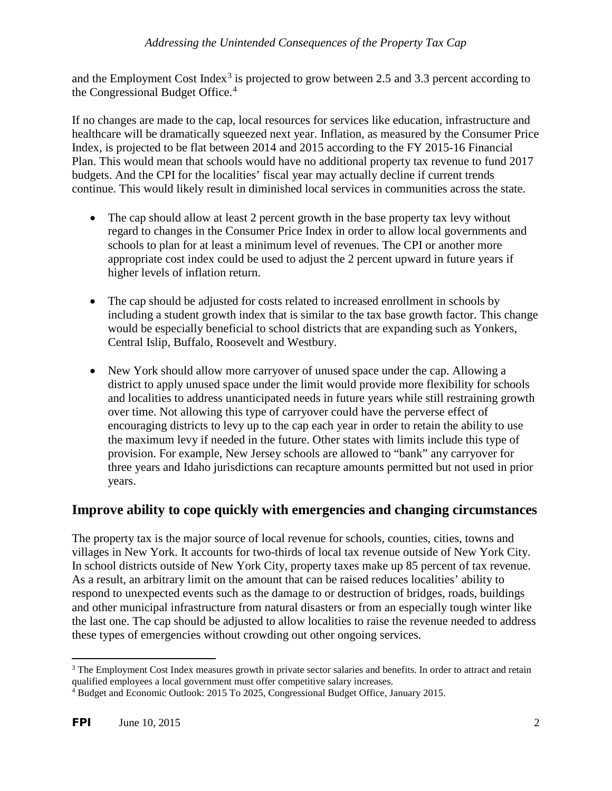and the Employment Cost Index<sup>[3](#page-1-0)</sup> is projected to grow between 2.5 and 3.3 percent according to the Congressional Budget Office.<sup>[4](#page-1-1)</sup>

If no changes are made to the cap, local resources for services like education, infrastructure and healthcare will be dramatically squeezed next year. Inflation, as measured by the Consumer Price Index, is projected to be flat between 2014 and 2015 according to the FY 2015-16 Financial Plan. This would mean that schools would have no additional property tax revenue to fund 2017 budgets. And the CPI for the localities' fiscal year may actually decline if current trends continue. This would likely result in diminished local services in communities across the state.

- The cap should allow at least 2 percent growth in the base property tax levy without regard to changes in the Consumer Price Index in order to allow local governments and schools to plan for at least a minimum level of revenues. The CPI or another more appropriate cost index could be used to adjust the 2 percent upward in future years if higher levels of inflation return.
- The cap should be adjusted for costs related to increased enrollment in schools by including a student growth index that is similar to the tax base growth factor. This change would be especially beneficial to school districts that are expanding such as Yonkers, Central Islip, Buffalo, Roosevelt and Westbury.
- New York should allow more carryover of unused space under the cap. Allowing a district to apply unused space under the limit would provide more flexibility for schools and localities to address unanticipated needs in future years while still restraining growth over time. Not allowing this type of carryover could have the perverse effect of encouraging districts to levy up to the cap each year in order to retain the ability to use the maximum levy if needed in the future. Other states with limits include this type of provision. For example, New Jersey schools are allowed to "bank" any carryover for three years and Idaho jurisdictions can recapture amounts permitted but not used in prior years.

## **Improve ability to cope quickly with emergencies and changing circumstances**

The property tax is the major source of local revenue for schools, counties, cities, towns and villages in New York. It accounts for two-thirds of local tax revenue outside of New York City. In school districts outside of New York City, property taxes make up 85 percent of tax revenue. As a result, an arbitrary limit on the amount that can be raised reduces localities' ability to respond to unexpected events such as the damage to or destruction of bridges, roads, buildings and other municipal infrastructure from natural disasters or from an especially tough winter like the last one. The cap should be adjusted to allow localities to raise the revenue needed to address these types of emergencies without crowding out other ongoing services.

l

<span id="page-1-0"></span><sup>&</sup>lt;sup>3</sup> The Employment Cost Index measures growth in private sector salaries and benefits. In order to attract and retain qualified employees a local government must offer competitive salary increases.

<span id="page-1-1"></span><sup>4</sup> Budget and Economic Outlook: 2015 To 2025, Congressional Budget Office, January 2015.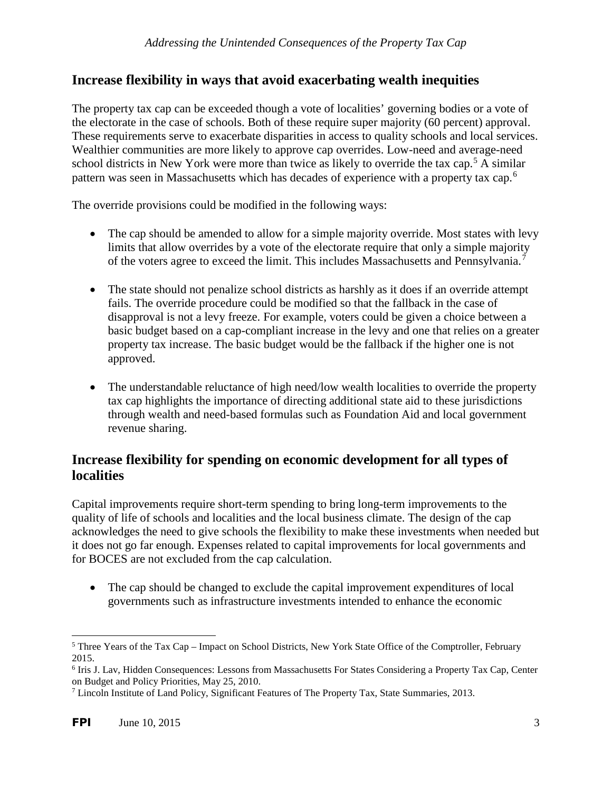#### **Increase flexibility in ways that avoid exacerbating wealth inequities**

The property tax cap can be exceeded though a vote of localities' governing bodies or a vote of the electorate in the case of schools. Both of these require super majority (60 percent) approval. These requirements serve to exacerbate disparities in access to quality schools and local services. Wealthier communities are more likely to approve cap overrides. Low-need and average-need school districts in New York were more than twice as likely to override the tax cap.<sup>[5](#page-2-0)</sup> A similar pattern was seen in Massachusetts which has decades of experience with a property tax cap.<sup>[6](#page-2-1)</sup>

The override provisions could be modified in the following ways:

- The cap should be amended to allow for a simple majority override. Most states with levy limits that allow overrides by a vote of the electorate require that only a simple majority of the voters agree to exceed the limit. This includes Massachusetts and Pennsylvania.[7](#page-2-2)
- The state should not penalize school districts as harshly as it does if an override attempt fails. The override procedure could be modified so that the fallback in the case of disapproval is not a levy freeze. For example, voters could be given a choice between a basic budget based on a cap-compliant increase in the levy and one that relies on a greater property tax increase. The basic budget would be the fallback if the higher one is not approved.
- The understandable reluctance of high need/low wealth localities to override the property tax cap highlights the importance of directing additional state aid to these jurisdictions through wealth and need-based formulas such as Foundation Aid and local government revenue sharing.

#### **Increase flexibility for spending on economic development for all types of localities**

Capital improvements require short-term spending to bring long-term improvements to the quality of life of schools and localities and the local business climate. The design of the cap acknowledges the need to give schools the flexibility to make these investments when needed but it does not go far enough. Expenses related to capital improvements for local governments and for BOCES are not excluded from the cap calculation.

• The cap should be changed to exclude the capital improvement expenditures of local governments such as infrastructure investments intended to enhance the economic

<span id="page-2-0"></span> $\overline{\phantom{a}}$ <sup>5</sup> Three Years of the Tax Cap – Impact on School Districts, New York State Office of the Comptroller, February 2015.

<span id="page-2-1"></span><sup>6</sup> Iris J. Lav, Hidden Consequences: Lessons from Massachusetts For States Considering a Property Tax Cap, Center on Budget and Policy Priorities, May 25, 2010.

<span id="page-2-2"></span><sup>7</sup> Lincoln Institute of Land Policy, Significant Features of The Property Tax, State Summaries, 2013.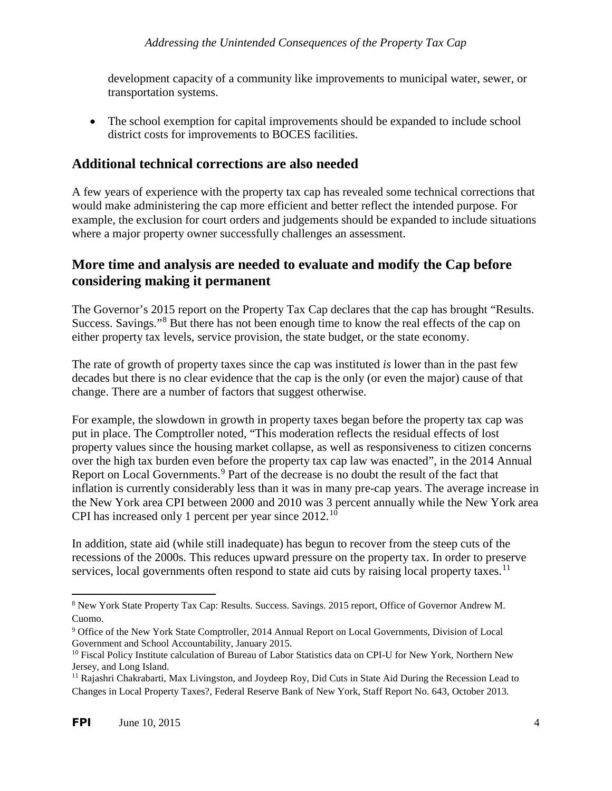development capacity of a community like improvements to municipal water, sewer, or transportation systems.

• The school exemption for capital improvements should be expanded to include school district costs for improvements to BOCES facilities.

## **Additional technical corrections are also needed**

A few years of experience with the property tax cap has revealed some technical corrections that would make administering the cap more efficient and better reflect the intended purpose. For example, the exclusion for court orders and judgements should be expanded to include situations where a major property owner successfully challenges an assessment.

## **More time and analysis are needed to evaluate and modify the Cap before considering making it permanent**

The Governor's 2015 report on the Property Tax Cap declares that the cap has brought "Results. Success. Savings."[8](#page-3-0) But there has not been enough time to know the real effects of the cap on either property tax levels, service provision, the state budget, or the state economy.

The rate of growth of property taxes since the cap was instituted *is* lower than in the past few decades but there is no clear evidence that the cap is the only (or even the major) cause of that change. There are a number of factors that suggest otherwise.

For example, the slowdown in growth in property taxes began before the property tax cap was put in place. The Comptroller noted, "This moderation reflects the residual effects of lost property values since the housing market collapse, as well as responsiveness to citizen concerns over the high tax burden even before the property tax cap law was enacted", in the 2014 Annual Report on Local Governments.<sup>[9](#page-3-1)</sup> Part of the decrease is no doubt the result of the fact that inflation is currently considerably less than it was in many pre-cap years. The average increase in the New York area CPI between 2000 and 2010 was 3 percent annually while the New York area CPI has increased only 1 percent per year since  $2012$ .<sup>[10](#page-3-2)</sup>

In addition, state aid (while still inadequate) has begun to recover from the steep cuts of the recessions of the 2000s. This reduces upward pressure on the property tax. In order to preserve services, local governments often respond to state aid cuts by raising local property taxes.<sup>[11](#page-3-3)</sup>

l

<span id="page-3-0"></span><sup>8</sup> New York State Property Tax Cap: Results. Success. Savings. 2015 report, Office of Governor Andrew M. Cuomo.

<span id="page-3-1"></span><sup>9</sup> Office of the New York State Comptroller, 2014 Annual Report on Local Governments, Division of Local Government and School Accountability, January 2015.

<span id="page-3-2"></span><sup>&</sup>lt;sup>10</sup> Fiscal Policy Institute calculation of Bureau of Labor Statistics data on CPI-U for New York, Northern New Jersey, and Long Island.

<span id="page-3-3"></span><sup>11</sup> Rajashri Chakrabarti, Max Livingston, and Joydeep Roy, Did Cuts in State Aid During the Recession Lead to Changes in Local Property Taxes?, Federal Reserve Bank of New York, Staff Report No. 643, October 2013.